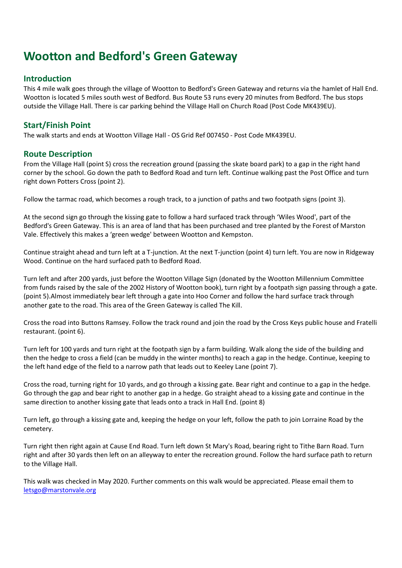## Wootton and Bedford's Green Gateway

## Introduction

This 4 mile walk goes through the village of Wootton to Bedford's Green Gateway and returns via the hamlet of Hall End. Wootton is located 5 miles south west of Bedford. Bus Route 53 runs every 20 minutes from Bedford. The bus stops outside the Village Hall. There is car parking behind the Village Hall on Church Road (Post Code MK439EU).

## Start/Finish Point

The walk starts and ends at Wootton Village Hall - OS Grid Ref 007450 - Post Code MK439EU.

## Route Description

From the Village Hall (point S) cross the recreation ground (passing the skate board park) to a gap in the right hand corner by the school. Go down the path to Bedford Road and turn left. Continue walking past the Post Office and turn right down Potters Cross (point 2).

Follow the tarmac road, which becomes a rough track, to a junction of paths and two footpath signs (point 3).

At the second sign go through the kissing gate to follow a hard surfaced track through 'Wiles Wood', part of the Bedford's Green Gateway. This is an area of land that has been purchased and tree planted by the Forest of Marston Vale. Effectively this makes a 'green wedge' between Wootton and Kempston.

Continue straight ahead and turn left at a T-junction. At the next T-junction (point 4) turn left. You are now in Ridgeway Wood. Continue on the hard surfaced path to Bedford Road.

Turn left and after 200 yards, just before the Wootton Village Sign (donated by the Wootton Millennium Committee from funds raised by the sale of the 2002 History of Wootton book), turn right by a footpath sign passing through a gate. (point 5).Almost immediately bear left through a gate into Hoo Corner and follow the hard surface track through another gate to the road. This area of the Green Gateway is called The Kill.

Cross the road into Buttons Ramsey. Follow the track round and join the road by the Cross Keys public house and Fratelli restaurant. (point 6).

Turn left for 100 yards and turn right at the footpath sign by a farm building. Walk along the side of the building and then the hedge to cross a field (can be muddy in the winter months) to reach a gap in the hedge. Continue, keeping to the left hand edge of the field to a narrow path that leads out to Keeley Lane (point 7).

Cross the road, turning right for 10 yards, and go through a kissing gate. Bear right and continue to a gap in the hedge. Go through the gap and bear right to another gap in a hedge. Go straight ahead to a kissing gate and continue in the same direction to another kissing gate that leads onto a track in Hall End. (point 8)

Turn left, go through a kissing gate and, keeping the hedge on your left, follow the path to join Lorraine Road by the cemetery.

Turn right then right again at Cause End Road. Turn left down St Mary's Road, bearing right to Tithe Barn Road. Turn right and after 30 yards then left on an alleyway to enter the recreation ground. Follow the hard surface path to return to the Village Hall.

This walk was checked in May 2020. Further comments on this walk would be appreciated. Please email them to letsgo@marstonvale.org